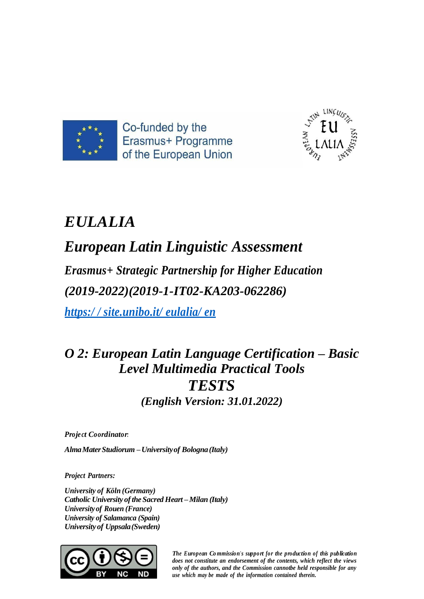



# *EULALIA*

## *European Latin Linguistic Assessment*

*Erasmus+ Strategic Partnership for Higher Education (2019-2022)(2019-1-IT02-KA203-062286)*

*https:/ / site.unibo.it/ eulalia/ en*

### *O 2: European Latin Language Certification – Basic Level Multimedia Practical Tools TESTS (English Version: 31.01.2022)*

*Proje ct Coordinator:*

*AlmaMaterStudiorum –Universityof Bologna(Italy)*

*Project Partners:*

*University of Köln (Germany) Catholic University of the Sacred Heart – Milan (Italy) University of Rouen (France) University of Salamanca (Spain) Universityof Uppsala(Sweden)*



*The European Co mmission's support for the production of this publication does not constitute an endorsement of the contents, which reflect the views only of the authors, and the Commission cannotbe held responsible for any use which may be made of the information contained therein.*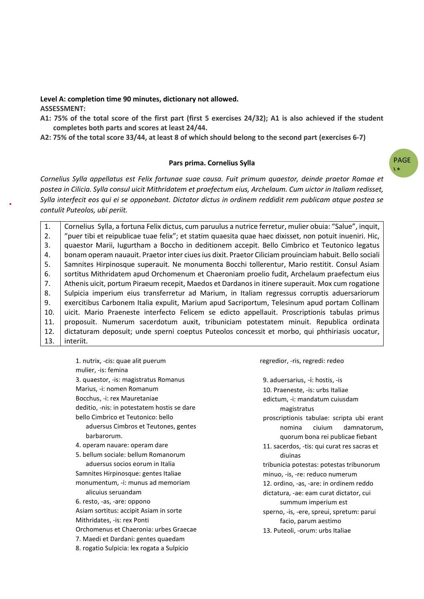#### **Level A: completion time 90 minutes, dictionary not allowed. ASSESSMENT:**

**A1: 75% of the total score of the first part (first 5 exercises 24/32); A1 is also achieved if the student completes both parts and scores at least 24/44.**

**A2: 75% of the total score 33/44, at least 8 of which should belong to the second part (exercises 6-7)**

#### **Pars prima. Cornelius Sylla**

PAGE  $\mathbf{A}$ 

*Cornelius Sylla appellatus est Felix fortunae suae causa. Fuit primum quaestor, deinde praetor Romae et postea in Cilicia. Sylla consul uicit Mithridatem et praefectum eius, Archelaum. Cum uictor in Italiam redisset, Sylla interfecit eos qui ei se opponebant. Dictator dictus in ordinem reddidit rem publicam atque postea se contulit Puteolos, ubi periit.* 

1. 2. 3. 4. 5. 6. 7. 8. 9. 10. 11. 12. 13. Cornelius Sylla, a fortuna Felix dictus, cum paruulus a nutrice ferretur, mulier obuia: "Salue", inquit, "puer tibi et reipublicae tuae felix"; et statim quaesita quae haec dixisset, non potuit inueniri. Hic, quaestor Marii, Iugurtham a Boccho in deditionem accepit. Bello Cimbrico et Teutonico legatus bonam operam nauauit. Praetor inter ciues ius dixit. Praetor Ciliciam prouinciam habuit. Bello sociali Samnites Hirpinosque superauit. Ne monumenta Bocchi tollerentur, Mario restitit. Consul Asiam sortitus Mithridatem apud Orchomenum et Chaeroniam proelio fudit, Archelaum praefectum eius Athenis uicit, portum Piraeum recepit, Maedos et Dardanos in itinere superauit. Mox cum rogatione Sulpicia imperium eius transferretur ad Marium, in Italiam regressus corruptis aduersariorum exercitibus Carbonem Italia expulit, Marium apud Sacriportum, Telesinum apud portam Collinam uicit. Mario Praeneste interfecto Felicem se edicto appellauit. Proscriptionis tabulas primus proposuit. Numerum sacerdotum auxit, tribuniciam potestatem minuit. Republica ordinata dictaturam deposuit; unde sperni coeptus Puteolos concessit et morbo, qui phthiriasis uocatur, interiit.

1. nutrix, -cis: quae alit puerum mulier, -is: femina 3. quaestor, -is: magistratus Romanus Marius, -i: nomen Romanum Bocchus, -i: rex Mauretaniae deditio, -nis: in potestatem hostis se dare bello Cimbrico et Teutonico: bello aduersus Cimbros et Teutones, gentes barbarorum. 4. operam nauare: operam dare 5. bellum sociale: bellum Romanorum aduersus socios eorum in Italia Samnites Hirpinosque: gentes Italiae monumentum, -i: munus ad memoriam alicuius seruandam 6. resto, -as, -are: oppono Asiam sortitus: accipit Asiam in sorte Mithridates, -is: rex Ponti Orchomenus et Chaeronia: urbes Graecae 7. Maedi et Dardani: gentes quaedam 8. rogatio Sulpicia: lex rogata a Sulpicio

regredior, -ris, regredi: redeo

9. aduersarius, -i: hostis, -is 10. Praeneste, -is: urbs Italiae edictum, -i: mandatum cuiusdam magistratus proscriptionis tabulae: scripta ubi erant nomina ciuium damnatorum, quorum bona rei publicae fiebant 11. sacerdos, -tis: qui curat res sacras et diuinas tribunicia potestas: potestas tribunorum minuo, -is, -re: reduco numerum 12. ordino, -as, -are: in ordinem reddo dictatura, -ae: eam curat dictator, cui summum imperium est sperno, -is, -ere, spreui, spretum: parui facio, parum aestimo 13. Puteoli, -orum: urbs Italiae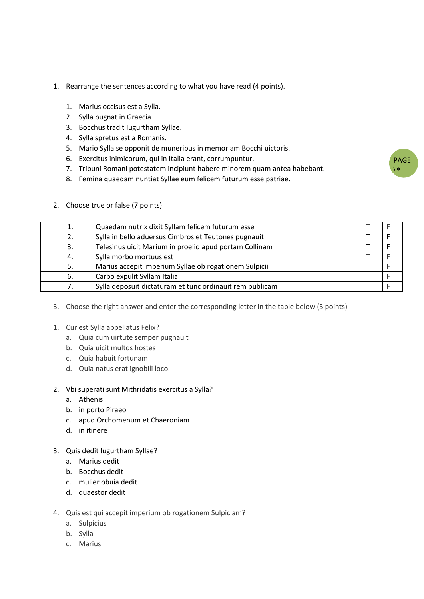- 1. Rearrange the sentences according to what you have read (4 points).
	- 1. Marius occisus est a Sylla.
	- 2. Sylla pugnat in Graecia
	- 3. Bocchus tradit Iugurtham Syllae.
	- 4. Sylla spretus est a Romanis.
	- 5. Mario Sylla se opponit de muneribus in memoriam Bocchi uictoris.
	- 6. Exercitus inimicorum, qui in Italia erant, corrumpuntur.
	- 7. Tribuni Romani potestatem incipiunt habere minorem quam antea habebant.

PAGE  $\mathbf{A}$ 

8. Femina quaedam nuntiat Syllae eum felicem futurum esse patriae.

|    | Quaedam nutrix dixit Syllam felicem futurum esse         |  |  |
|----|----------------------------------------------------------|--|--|
|    | Sylla in bello aduersus Cimbros et Teutones pugnauit     |  |  |
| 3. | Telesinus uicit Marium in proelio apud portam Collinam   |  |  |
| 4. | Sylla morbo mortuus est                                  |  |  |
|    | Marius accepit imperium Syllae ob rogationem Sulpicii    |  |  |
| 6. | Carbo expulit Syllam Italia                              |  |  |
|    | Sylla deposuit dictaturam et tunc ordinauit rem publicam |  |  |

2. Choose true or false (7 points)

- 3. Choose the right answer and enter the corresponding letter in the table below (5 points)
- 1. Cur est Sylla appellatus Felix?
	- a. Quia cum uirtute semper pugnauit
	- b. Quia uicit multos hostes
	- c. Quia habuit fortunam
	- d. Quia natus erat ignobili loco.
- 2. Vbi superati sunt Mithridatis exercitus a Sylla?
	- a. Athenis
	- b. in porto Piraeo
	- c. apud Orchomenum et Chaeroniam
	- d. in itinere
- 3. Quis dedit Iugurtham Syllae?
	- a. Marius dedit
	- b. Bocchus dedit
	- c. mulier obuia dedit
	- d. quaestor dedit
- 4. Quis est qui accepit imperium ob rogationem Sulpiciam?
	- a. Sulpicius
	- b. Sylla
	- c. Marius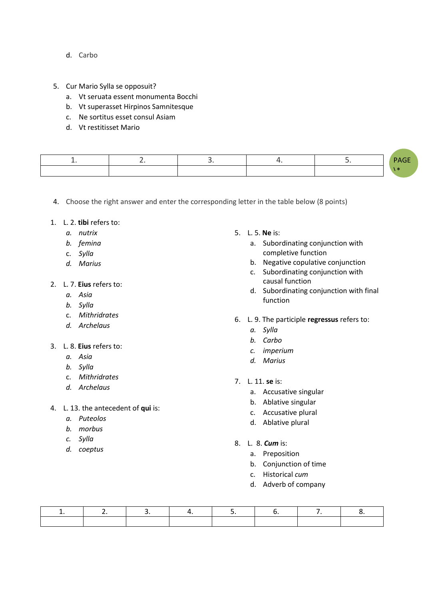- d. Carbo
- 5. Cur Mario Sylla se opposuit?
	- a. Vt seruata essent monumenta Bocchi
	- b. Vt superasset Hirpinos Samnitesque
	- c. Ne sortitus esset consul Asiam
	- d. Vt restitisset Mario

|  |  | $\sim$ $-$ |
|--|--|------------|
|  |  |            |

4. Choose the right answer and enter the corresponding letter in the table below (8 points)

- 1. L. 2. **tibi** refers to:
	- *a. nutrix*
	- *b. femina*
	- c. *Sylla*
	- *d. Marius*
- 2. L. 7. **Eius** refers to:
	- *a. Asia*
	- *b. Sylla*
	- c. *Mithridrates*
	- *d. Archelaus*
- 3. L. 8. **Eius** refers to:
	- *a. Asia*
	- *b. Sylla*
	- c. *Mithridrates*
	- *d. Archelaus*
- 4. L. 13. the antecedent of **qui** is:
	- *a. Puteolos*
	- *b. morbus*
	- *c. Sylla*
	- *d. coeptus*
- 5. L. 5. **Ne** is:
	- a. Subordinating conjunction with completive function
	- b. Negative copulative conjunction
	- c. Subordinating conjunction with causal function
	- d. Subordinating conjunction with final function
- 6. L. 9. The participle **regressus** refers to:
	- *a. Sylla*
	- *b. Carbo*
	- *c. imperium*
	- *d. Marius*
- 7. L. 11. **se** is:
	- a. Accusative singular
	- b. Ablative singular
	- c. Accusative plural
	- d. Ablative plural
- 8. L. 8. *Cum* is:
	- a. Preposition
	- b. Conjunction of time
	- c. Historical *cum*
	- d. Adverb of company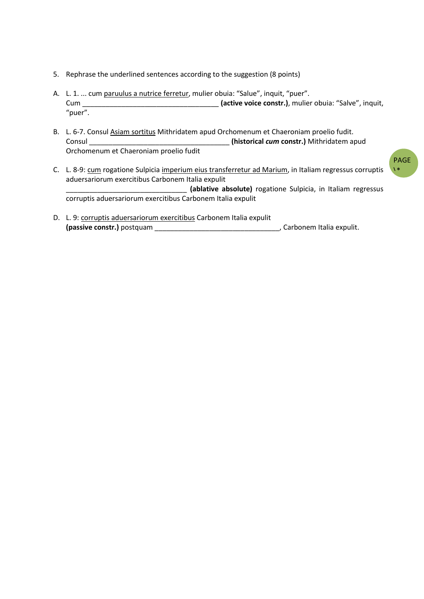- 5. Rephrase the underlined sentences according to the suggestion (8 points)
- A. L. 1. ... cum paruulus a nutrice ferretur, mulier obuia: "Salue", inquit, "puer". Cum **Cum (active voice constr.)**, mulier obuia: "Salve", inquit, "puer".
- B. L. 6-7. Consul Asiam sortitus Mithridatem apud Orchomenum et Chaeroniam proelio fudit. Consul \_\_\_\_\_\_\_\_\_\_\_\_\_\_\_\_\_\_\_\_\_\_\_\_\_\_\_\_\_\_\_\_\_\_\_\_ **(historical** *cum* **constr.)** Mithridatem apud Orchomenum et Chaeroniam proelio fudit
- C. L. 8-9: cum rogatione Sulpicia imperium eius transferretur ad Marium, in Italiam regressus corruptis aduersariorum exercitibus Carbonem Italia expulit \_\_\_\_\_\_\_\_\_\_\_\_\_\_\_\_\_\_\_\_\_\_\_\_\_\_\_\_\_\_\_ **(ablative absolute)** rogatione Sulpicia, in Italiam regressus corruptis aduersariorum exercitibus Carbonem Italia expulit
- D. L. 9: corruptis aduersariorum exercitibus Carbonem Italia expulit **(passive constr.)** postquam \_\_\_\_\_\_\_\_\_\_\_\_\_\_\_\_\_\_\_\_\_\_\_\_\_\_\_\_\_\_\_\_, Carbonem Italia expulit.

PAGE  $\mathbf{A}$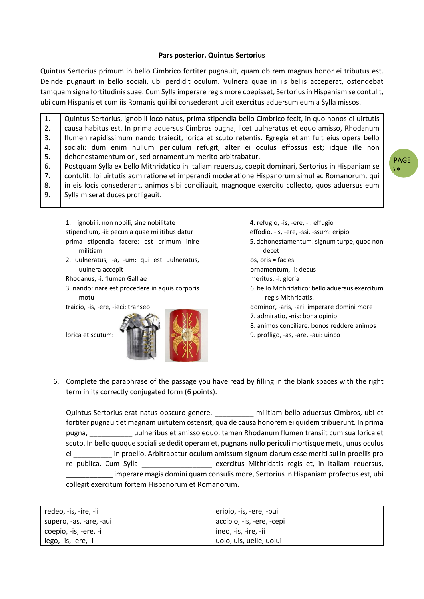#### **Pars posterior. Quintus Sertorius**

Quintus Sertorius primum in bello Cimbrico fortiter pugnauit, quam ob rem magnus honor ei tributus est. Deinde pugnauit in bello sociali, ubi perdidit oculum. Vulnera quae in iis bellis acceperat, ostendebat tamquam signa fortitudinis suae. Cum Sylla imperare regis more coepisset, Sertorius in Hispaniam se contulit, ubi cum Hispanis et cum iis Romanis qui ibi consederant uicit exercitus aduersum eum a Sylla missos.

1. 2. 3. 4. 5. 6. 7. 8. 9. Quintus Sertorius, ignobili loco natus, prima stipendia bello Cimbrico fecit, in quo honos ei uirtutis causa habitus est. In prima aduersus Cimbros pugna, licet uulneratus et equo amisso, Rhodanum flumen rapidissimum nando traiecit, lorica et scuto retentis. Egregia etiam fuit eius opera bello sociali: dum enim nullum periculum refugit, alter ei oculus effossus est; idque ille non dehonestamentum ori, sed ornamentum merito arbitrabatur. Postquam Sylla ex bello Mithridatico in Italiam reuersus, coepit dominari, Sertorius in Hispaniam se contulit. Ibi uirtutis admiratione et imperandi moderatione Hispanorum simul ac Romanorum, qui in eis locis consederant, animos sibi conciliauit, magnoque exercitu collecto, quos aduersus eum Sylla miserat duces profligauit.

PAGE  $\mathbf{A}$ 

1. ignobili: non nobili, sine nobilitate stipendium, -ii: pecunia quae militibus datur prima stipendia facere: est primum inire militiam

2. uulneratus, -a, -um: qui est uulneratus, uulnera accepit

Rhodanus, -i: flumen Galliae

3. nando: nare est procedere in aquis corporis motu

traicio, -is, -ere, -ieci: transeo

lorica et scutum:



4. refugio, -is, -ere, -i: effugio effodio, -is, -ere, -ssi, -ssum: eripio 5. dehonestamentum: signum turpe, quod non decet os, oris = facies ornamentum, -i: decus meritus, -i: gloria 6. bello Mithridatico: bello aduersus exercitum regis Mithridatis. dominor, -aris, -ari: imperare domini more 7. admiratio, -nis: bona opinio 8. animos conciliare: bonos reddere animos 9. profligo, -as, -are, -aui: uinco

6. Complete the paraphrase of the passage you have read by filling in the blank spaces with the right term in its correctly conjugated form (6 points).

Quintus Sertorius erat natus obscuro genere. \_\_\_\_\_\_\_\_\_\_\_ militiam bello aduersus Cimbros, ubi et fortiter pugnauit et magnam uirtutem ostensit, qua de causa honorem ei quidem tribuerunt. In prima pugna, \_\_\_\_\_\_\_\_\_\_\_ uulneribus et amisso equo, tamen Rhodanum flumen transiit cum sua lorica et scuto. In bello quoque socialise dedit operam et, pugnans nullo periculi mortisque metu, unus oculus ei \_\_\_\_\_\_\_\_\_\_ in proelio. Arbitrabatur oculum amissum signum clarum esse meriti sui in proeliis pro re publica. Cum Sylla **come contrary exercitus Mithridatis regis et, in Italiam reuersus,** imperare magis domini quam consulis more, Sertorius in Hispaniam profectus est, ubi collegit exercitum fortem Hispanorum et Romanorum.

| redeo, -is, -ire, -ii   | eripio, -is, -ere, -pui   |
|-------------------------|---------------------------|
| supero, -as, -are, -aui | accipio, -is, -ere, -cepi |
| coepio, -is, -ere, -i   | ineo, -is, -ire, -ii      |
| lego, -is, -ere, -i     | uolo, uis, uelle, uolui   |